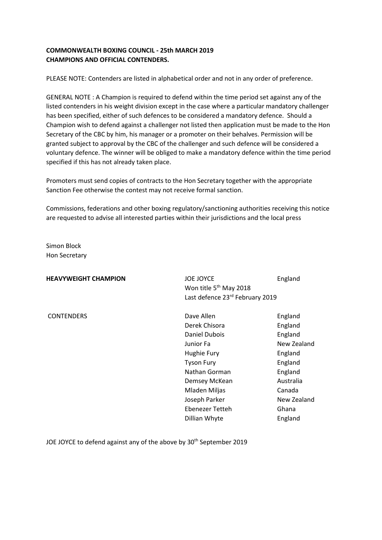# **COMMONWEALTH BOXING COUNCIL - 25th MARCH 2019 CHAMPIONS AND OFFICIAL CONTENDERS.**

PLEASE NOTE: Contenders are listed in alphabetical order and not in any order of preference.

GENERAL NOTE : A Champion is required to defend within the time period set against any of the listed contenders in his weight division except in the case where a particular mandatory challenger has been specified, either of such defences to be considered a mandatory defence. Should a Champion wish to defend against a challenger not listed then application must be made to the Hon Secretary of the CBC by him, his manager or a promoter on their behalves. Permission will be granted subject to approval by the CBC of the challenger and such defence will be considered a voluntary defence. The winner will be obliged to make a mandatory defence within the time period specified if this has not already taken place.

Promoters must send copies of contracts to the Hon Secretary together with the appropriate Sanction Fee otherwise the contest may not receive formal sanction.

Commissions, federations and other boxing regulatory/sanctioning authorities receiving this notice are requested to advise all interested parties within their jurisdictions and the local press

Simon Block Hon Secretary

| <b>JOE JOYCE</b>                   | England                         |
|------------------------------------|---------------------------------|
| Won title 5 <sup>th</sup> May 2018 |                                 |
|                                    |                                 |
| Dave Allen                         | England                         |
| Derek Chisora                      | England                         |
| Daniel Dubois                      | England                         |
| Junior Fa                          | New Zealand                     |
| Hughie Fury                        | England                         |
| <b>Tyson Fury</b>                  | England                         |
| Nathan Gorman                      | England                         |
| Demsey McKean                      | Australia                       |
| Mladen Miljas                      | Canada                          |
| Joseph Parker                      | New Zealand                     |
| Ebenezer Tetteh                    | Ghana                           |
| Dillian Whyte                      | England                         |
|                                    | Last defence 23rd February 2019 |

JOE JOYCE to defend against any of the above by 30<sup>th</sup> September 2019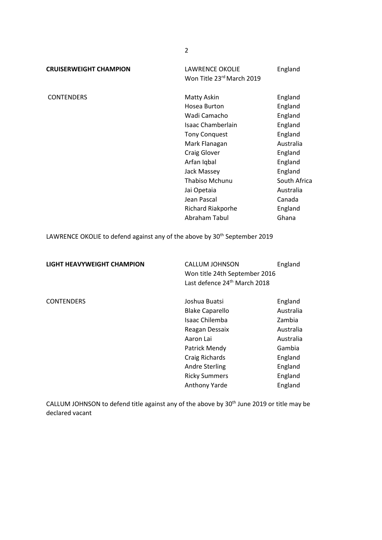**CRUISERWEIGHT CHAMPION** LAWRENCE OKOLIE England Won Title 23rd March 2019

CONTENDERS Matty Askin England Hosea Burton **England** Wadi Camacho **England** Isaac Chamberlain England Tony Conquest England Mark Flanagan **Australia** Craig Glover **England** Arfan Iqbal **England** Jack Massey **England** Thabiso Mchunu South Africa Jai Opetaia **Australia** Jean Pascal Canada Richard Riakporhe England Abraham Tabul Ghana

LAWRENCE OKOLIE to defend against any of the above by 30<sup>th</sup> September 2019

**LIGHT HEAVYWEIGHT CHAMPION** CALLUM JOHNSON England Won title 24th September 2016 Last defence 24<sup>th</sup> March 2018 CONTENDERS Joshua Buatsi England Blake Caparello **Australia** Isaac Chilemba Zambia Reagan Dessaix **Australia** Aaron Lai **Australia** Patrick Mendy Gambia Craig Richards England Andre Sterling England Ricky Summers England Anthony Yarde England

CALLUM JOHNSON to defend title against any of the above by 30<sup>th</sup> June 2019 or title may be declared vacant

2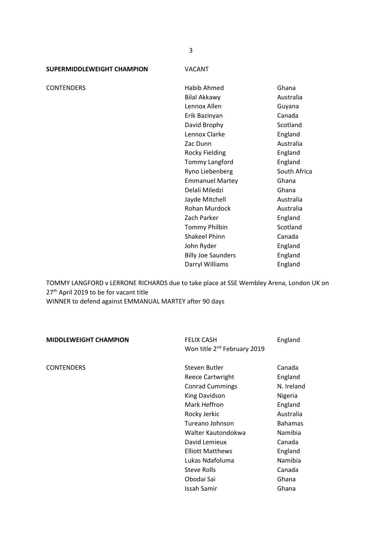**SUPERMIDDLEWEIGHT CHAMPION** VACANT

CONTENDERS Habib Ahmed Ghana Bilal Akkawy **Australia** Lennox Allen Guyana Erik Bazinyan Canada David Brophy Scotland Lennox Clarke England Zac Dunn **Australia** Rocky Fielding England Tommy Langford England Ryno Liebenberg South Africa Emmanuel Martey Ghana Delali Miledzi Ghana Jayde Mitchell **Australia** Rohan Murdock Australia Zach Parker England Tommy Philbin Scotland Shakeel Phinn Canada John Ryder **England** Billy Joe Saunders **England** Darryl Williams **England** 

TOMMY LANGFORD v LERRONE RICHARDS due to take place at SSE Wembley Arena, London UK on 27<sup>th</sup> April 2019 to be for vacant title WINNER to defend against EMMANUAL MARTEY after 90 days

**MIDDLEWEIGHT CHAMPION** FELIX CASH England Won title 2<sup>nd</sup> February 2019

CONTENDERS **Steven Butler** Canada Canada Reece Cartwright England Conrad Cummings N. Ireland King Davidson Nigeria Mark Heffron England Rocky Jerkic **Australia** Tureano Johnson Bahamas Walter Kautondokwa Namibia David Lemieux **Canada** Elliott Matthews England Lukas Ndafoluma<br>
Namibia Steve Rolls **Canada** Obodai Sai Ghana Issah Samir Ghana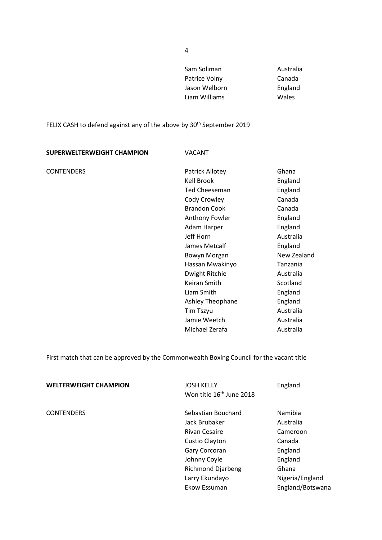| Sam Soliman   | Australia |
|---------------|-----------|
| Patrice Volny | Canada    |
| Jason Welborn | England   |
| Liam Williams | Wales     |
|               |           |

FELIX CASH to defend against any of the above by 30<sup>th</sup> September 2019

| SUPERWELTERWEIGHT CHAMPION | <b>VACANT</b>        |             |
|----------------------------|----------------------|-------------|
| <b>CONTENDERS</b>          | Patrick Allotey      | Ghana       |
|                            | <b>Kell Brook</b>    | England     |
|                            | <b>Ted Cheeseman</b> | England     |
|                            | Cody Crowley         | Canada      |
|                            | <b>Brandon Cook</b>  | Canada      |
|                            | Anthony Fowler       | England     |
|                            | Adam Harper          | England     |
|                            | Jeff Horn            | Australia   |
|                            | James Metcalf        | England     |
|                            | Bowyn Morgan         | New Zealand |
|                            | Hassan Mwakinyo      | Tanzania    |
|                            | Dwight Ritchie       | Australia   |
|                            | Keiran Smith         | Scotland    |
|                            | Liam Smith           | England     |
|                            | Ashley Theophane     | England     |
|                            | <b>Tim Tszyu</b>     | Australia   |
|                            | Jamie Weetch         | Australia   |
|                            | Michael Zerafa       | Australia   |

First match that can be approved by the Commonwealth Boxing Council for the vacant title

| <b>WELTERWEIGHT CHAMPION</b> | <b>JOSH KELLY</b><br>Won title 16 <sup>th</sup> June 2018 | England          |
|------------------------------|-----------------------------------------------------------|------------------|
| <b>CONTENDERS</b>            | Sebastian Bouchard                                        | Namibia          |
|                              | Jack Brubaker                                             | Australia        |
|                              | <b>Rivan Cesaire</b>                                      | Cameroon         |
|                              | Custio Clayton                                            | Canada           |
|                              | Gary Corcoran                                             | England          |
|                              | Johnny Coyle                                              | England          |
|                              | <b>Richmond Djarbeng</b>                                  | Ghana            |
|                              | Larry Ekundayo                                            | Nigeria/England  |
|                              | Ekow Essuman                                              | England/Botswana |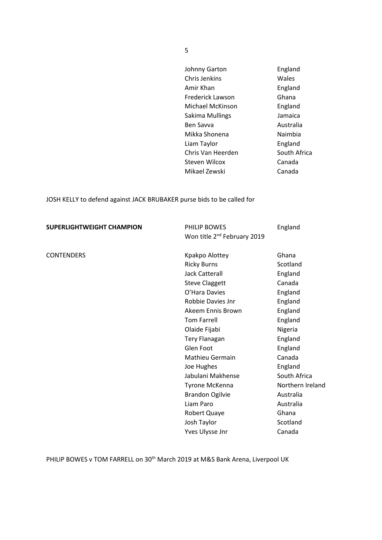| Johnny Garton     | England      |
|-------------------|--------------|
| Chris Jenkins     | Wales        |
| Amir Khan         | England      |
| Frederick Lawson  | Ghana        |
| Michael McKinson  | England      |
| Sakima Mullings   | Jamaica      |
| <b>Ben Savva</b>  | Australia    |
| Mikka Shonena     | Naimbia      |
| Liam Taylor       | England      |
| Chris Van Heerden | South Africa |
| Steven Wilcox     | Canada       |
| Mikael Zewski     | Canada       |

JOSH KELLY to defend against JACK BRUBAKER purse bids to be called for

| <b>SUPERLIGHTWEIGHT CHAMPION</b> | PHILIP BOWES<br>Won title 2 <sup>nd</sup> February 2019 | England          |
|----------------------------------|---------------------------------------------------------|------------------|
| <b>CONTENDERS</b>                | Kpakpo Alottey                                          | Ghana            |
|                                  | <b>Ricky Burns</b>                                      | Scotland         |
|                                  | <b>Jack Catterall</b>                                   | England          |
|                                  | <b>Steve Claggett</b>                                   | Canada           |
|                                  | O'Hara Davies                                           | England          |
|                                  | Robbie Davies Jnr                                       | England          |
|                                  | Akeem Ennis Brown                                       | England          |
|                                  | <b>Tom Farrell</b>                                      | England          |
|                                  | Olaide Fijabi                                           | Nigeria          |
|                                  | <b>Tery Flanagan</b>                                    | England          |
|                                  | Glen Foot                                               | England          |
|                                  | <b>Mathieu Germain</b>                                  | Canada           |
|                                  | Joe Hughes                                              | England          |
|                                  | Jabulani Makhense                                       | South Africa     |
|                                  | Tyrone McKenna                                          | Northern Ireland |
|                                  | <b>Brandon Ogilvie</b>                                  | Australia        |
|                                  | Liam Paro                                               | Australia        |
|                                  | Robert Quaye                                            | Ghana            |
|                                  | Josh Taylor                                             | Scotland         |
|                                  | Yves Ulysse Jnr                                         | Canada           |

PHILIP BOWES v TOM FARRELL on 30<sup>th</sup> March 2019 at M&S Bank Arena, Liverpool UK

5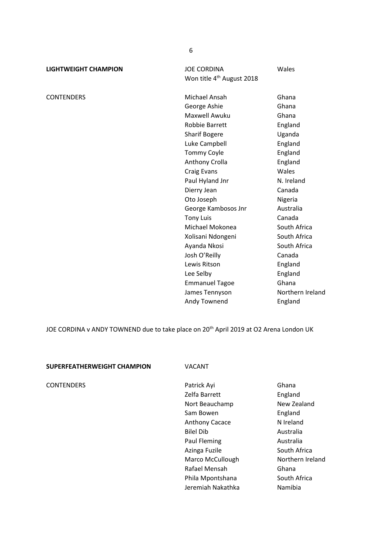**LIGHTWEIGHT CHAMPION** JOE CORDINA Wales Won title 4<sup>th</sup> August 2018

CONTENDERS **Michael Ansah** Ghana George Ashie **Ghana** Maxwell Awuku Ghana Robbie Barrett England Sharif Bogere Uganda Luke Campbell **England** Tommy Coyle **England** Anthony Crolla **England** Craig Evans Wales Paul Hyland Jnr N. Ireland Dierry Jean Canada Oto Joseph Nigeria George Kambosos Jnr Australia Tony Luis Canada Michael Mokonea South Africa Xolisani Ndongeni South Africa Ayanda Nkosi South Africa Josh O'Reilly Canada Lewis Ritson **England** Lee Selby **England** Emmanuel Tagoe Ghana James Tennyson Northern Ireland Andy Townend England

JOE CORDINA v ANDY TOWNEND due to take place on 20<sup>th</sup> April 2019 at O2 Arena London UK

#### **SUPERFEATHERWEIGHT CHAMPION** VACANT

CONTENDERS Patrick Ayi Ghana Zelfa Barrett England Nort Beauchamp New Zealand Sam Bowen **England** Anthony Cacace N Ireland Bilel Dib Australia Paul Fleming **Australia** Azinga Fuzile South Africa Marco McCullough Northern Ireland Rafael Mensah Ghana Phila Mpontshana South Africa Jeremiah Nakathka Namibia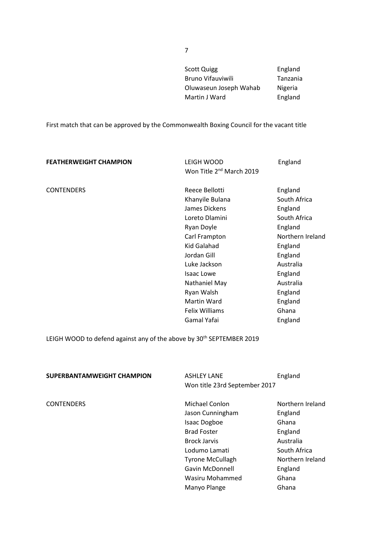| Scott Quigg            | England  |
|------------------------|----------|
| Bruno Vifauviwili      | Tanzania |
| Oluwaseun Joseph Wahab | Nigeria  |
| Martin J Ward          | England  |
|                        |          |

First match that can be approved by the Commonwealth Boxing Council for the vacant title

| <b>FEATHERWEIGHT CHAMPION</b> | LEIGH WOOD<br>Won Title 2 <sup>nd</sup> March 2019                                                                                                                                                                                                           | England                                                                                                                                                                                |
|-------------------------------|--------------------------------------------------------------------------------------------------------------------------------------------------------------------------------------------------------------------------------------------------------------|----------------------------------------------------------------------------------------------------------------------------------------------------------------------------------------|
| <b>CONTENDERS</b>             | Reece Bellotti<br>Khanyile Bulana<br>James Dickens<br>Loreto Dlamini<br>Ryan Doyle<br>Carl Frampton<br>Kid Galahad<br>Jordan Gill<br>Luke Jackson<br><b>Isaac Lowe</b><br>Nathaniel May<br>Ryan Walsh<br>Martin Ward<br><b>Felix Williams</b><br>Gamal Yafai | England<br>South Africa<br>England<br>South Africa<br>England<br>Northern Ireland<br>England<br>England<br>Australia<br>England<br>Australia<br>England<br>England<br>Ghana<br>England |
|                               |                                                                                                                                                                                                                                                              |                                                                                                                                                                                        |

LEIGH WOOD to defend against any of the above by 30<sup>th</sup> SEPTEMBER 2019

| SUPERBANTAMWEIGHT CHAMPION | <b>ASHLEY LANE</b><br>Won title 23rd September 2017 | England          |
|----------------------------|-----------------------------------------------------|------------------|
| <b>CONTENDERS</b>          | Michael Conlon                                      | Northern Ireland |
|                            | Jason Cunningham                                    | England          |
|                            | <b>Isaac Dogboe</b>                                 | Ghana            |
|                            | <b>Brad Foster</b>                                  | England          |
|                            | <b>Brock Jarvis</b>                                 | Australia        |
|                            | Lodumo Lamati                                       | South Africa     |
|                            | <b>Tyrone McCullagh</b>                             | Northern Ireland |
|                            | <b>Gavin McDonnell</b>                              | England          |
|                            | Wasiru Mohammed                                     | Ghana            |
|                            | Manyo Plange                                        | Ghana            |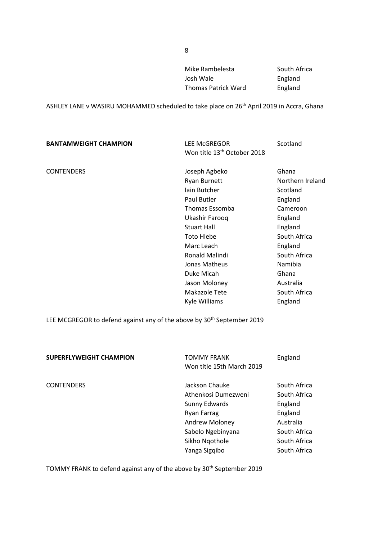Mike Rambelesta<br>
South Africa Josh Wale **England** Thomas Patrick Ward England

ASHLEY LANE v WASIRU MOHAMMED scheduled to take place on 26<sup>th</sup> April 2019 in Accra, Ghana

| <b>BANTAMWEIGHT CHAMPION</b> | <b>LEE McGREGOR</b>                     | Scotland         |
|------------------------------|-----------------------------------------|------------------|
|                              | Won title 13 <sup>th</sup> October 2018 |                  |
| <b>CONTENDERS</b>            | Joseph Agbeko                           | Ghana            |
|                              | <b>Ryan Burnett</b>                     | Northern Ireland |
|                              | lain Butcher                            | Scotland         |
|                              | Paul Butler                             | England          |
|                              | Thomas Essomba                          | Cameroon         |
|                              | Ukashir Farooq                          | England          |
|                              | <b>Stuart Hall</b>                      | England          |
|                              | <b>Toto Hlebe</b>                       | South Africa     |
|                              | Marc Leach                              | England          |
|                              | Ronald Malindi                          | South Africa     |
|                              | Jonas Matheus                           | Namibia          |
|                              | Duke Micah                              | Ghana            |
|                              | Jason Moloney                           | Australia        |
|                              | Makazole Tete                           | South Africa     |
|                              | Kyle Williams                           | England          |
|                              |                                         |                  |

LEE MCGREGOR to defend against any of the above by 30<sup>th</sup> September 2019

| <b>SUPERFLYWEIGHT CHAMPION</b> | <b>TOMMY FRANK</b><br>Won title 15th March 2019 | England                      |
|--------------------------------|-------------------------------------------------|------------------------------|
| <b>CONTENDERS</b>              | Jackson Chauke<br>Athenkosi Dumezweni           | South Africa<br>South Africa |
|                                | Sunny Edwards                                   | England                      |
|                                | Ryan Farrag                                     | England                      |
|                                | <b>Andrew Moloney</b>                           | Australia                    |
|                                | Sabelo Ngebinyana                               | South Africa                 |
|                                | Sikho Ngothole                                  | South Africa                 |
|                                | Yanga Sigqibo                                   | South Africa                 |

TOMMY FRANK to defend against any of the above by 30<sup>th</sup> September 2019